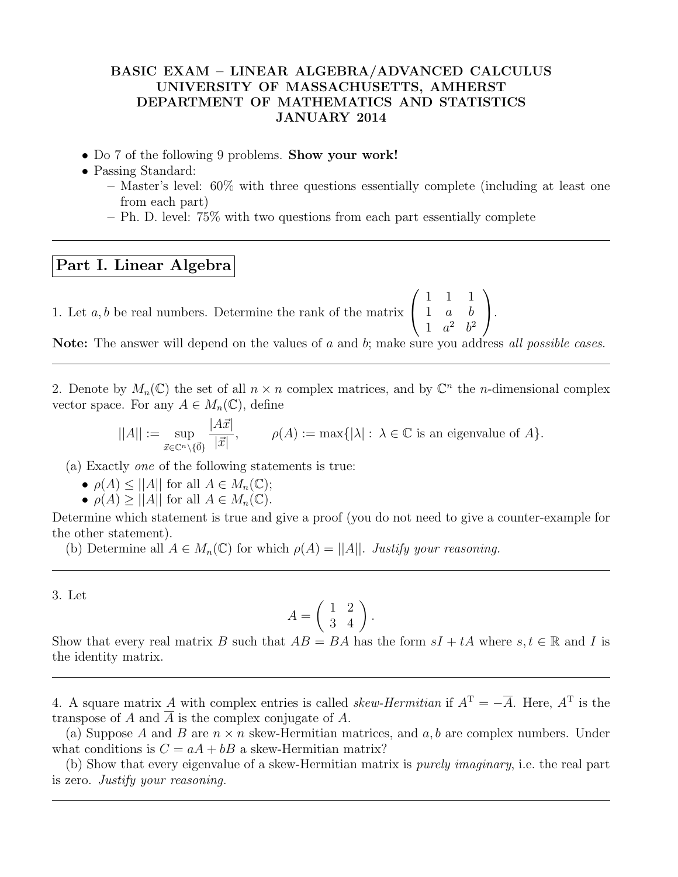## BASIC EXAM – LINEAR ALGEBRA/ADVANCED CALCULUS UNIVERSITY OF MASSACHUSETTS, AMHERST DEPARTMENT OF MATHEMATICS AND STATISTICS JANUARY 2014

- Do 7 of the following 9 problems. Show your work!
- Passing Standard:
	- Master's level: 60% with three questions essentially complete (including at least one from each part)

 $\setminus$  $\cdot$ 

– Ph. D. level: 75% with two questions from each part essentially complete

## Part I. Linear Algebra

1. Let  $a, b$  be real numbers. Determine the rank of the matrix  $\sqrt{ }$  $\overline{1}$ 1 1 1 1 a b 1  $a^2$   $b^2$ 

Note: The answer will depend on the values of a and b; make sure you address all possible cases.

2. Denote by  $M_n(\mathbb{C})$  the set of all  $n \times n$  complex matrices, and by  $\mathbb{C}^n$  the *n*-dimensional complex vector space. For any  $A \in M_n(\mathbb{C})$ , define

$$
||A|| := \sup_{\vec{x} \in \mathbb{C}^n \setminus \{\vec{0}\}} \frac{|A\vec{x}|}{|\vec{x}|}, \qquad \rho(A) := \max\{|\lambda| : \lambda \in \mathbb{C} \text{ is an eigenvalue of } A\}.
$$

(a) Exactly one of the following statements is true:

- $\rho(A) \leq ||A||$  for all  $A \in M_n(\mathbb{C});$
- $\rho(A) \ge ||A||$  for all  $A \in M_n(\mathbb{C})$ .

Determine which statement is true and give a proof (you do not need to give a counter-example for the other statement).

(b) Determine all  $A \in M_n(\mathbb{C})$  for which  $\rho(A) = ||A||$ . Justify your reasoning.

3. Let

$$
A = \left(\begin{array}{cc} 1 & 2 \\ 3 & 4 \end{array}\right).
$$

Show that every real matrix B such that  $AB = BA$  has the form  $sI + tA$  where  $s, t \in \mathbb{R}$  and I is the identity matrix.

4. A square matrix A with complex entries is called *skew-Hermitian* if  $A<sup>T</sup> = -\overline{A}$ . Here,  $A<sup>T</sup>$  is the transpose of A and A is the complex conjugate of A.

(a) Suppose A and B are  $n \times n$  skew-Hermitian matrices, and a, b are complex numbers. Under what conditions is  $C = aA + bB$  a skew-Hermitian matrix?

(b) Show that every eigenvalue of a skew-Hermitian matrix is purely imaginary, i.e. the real part is zero. Justify your reasoning.